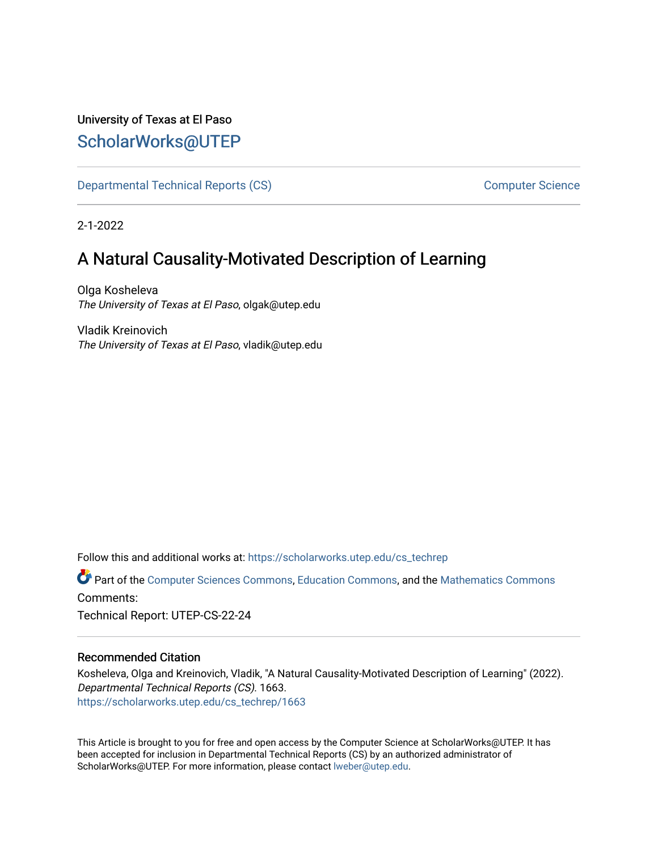# University of Texas at El Paso [ScholarWorks@UTEP](https://scholarworks.utep.edu/)

[Departmental Technical Reports \(CS\)](https://scholarworks.utep.edu/cs_techrep) [Computer Science](https://scholarworks.utep.edu/computer) 

2-1-2022

# A Natural Causality-Motivated Description of Learning

Olga Kosheleva The University of Texas at El Paso, olgak@utep.edu

Vladik Kreinovich The University of Texas at El Paso, vladik@utep.edu

Follow this and additional works at: [https://scholarworks.utep.edu/cs\\_techrep](https://scholarworks.utep.edu/cs_techrep?utm_source=scholarworks.utep.edu%2Fcs_techrep%2F1663&utm_medium=PDF&utm_campaign=PDFCoverPages) 

Part of the [Computer Sciences Commons](http://network.bepress.com/hgg/discipline/142?utm_source=scholarworks.utep.edu%2Fcs_techrep%2F1663&utm_medium=PDF&utm_campaign=PDFCoverPages), [Education Commons,](http://network.bepress.com/hgg/discipline/784?utm_source=scholarworks.utep.edu%2Fcs_techrep%2F1663&utm_medium=PDF&utm_campaign=PDFCoverPages) and the [Mathematics Commons](http://network.bepress.com/hgg/discipline/174?utm_source=scholarworks.utep.edu%2Fcs_techrep%2F1663&utm_medium=PDF&utm_campaign=PDFCoverPages)  Comments:

Technical Report: UTEP-CS-22-24

#### Recommended Citation

Kosheleva, Olga and Kreinovich, Vladik, "A Natural Causality-Motivated Description of Learning" (2022). Departmental Technical Reports (CS). 1663. [https://scholarworks.utep.edu/cs\\_techrep/1663](https://scholarworks.utep.edu/cs_techrep/1663?utm_source=scholarworks.utep.edu%2Fcs_techrep%2F1663&utm_medium=PDF&utm_campaign=PDFCoverPages) 

This Article is brought to you for free and open access by the Computer Science at ScholarWorks@UTEP. It has been accepted for inclusion in Departmental Technical Reports (CS) by an authorized administrator of ScholarWorks@UTEP. For more information, please contact [lweber@utep.edu](mailto:lweber@utep.edu).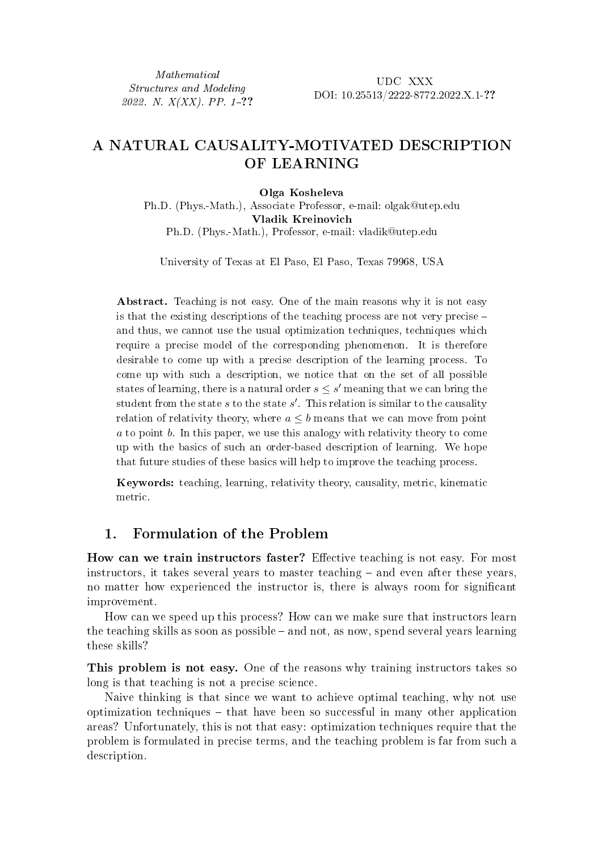Mathematical Structures and Modeling 2022. N.  $X(XX)$ . PP. 1-??

UDC XXX DOI: 10.25513/2222-8772.2022.X.1-??

# A NATURAL CAUSALITY-MOTIVATED DESCRIPTION OF LEARNING

#### Olga Kosheleva

Ph.D. (Phys.-Math.), Associate Professor, e-mail: olgak@utep.edu Vladik Kreinovich Ph.D. (Phys.-Math.), Professor, e-mail: vladik@utep.edu

University of Texas at El Paso, El Paso, Texas 79968, USA

Abstract. Teaching is not easy. One of the main reasons why it is not easy is that the existing descriptions of the teaching process are not very precise – and thus, we cannot use the usual optimization techniques, techniques which require a precise model of the corresponding phenomenon. It is therefore desirable to come up with a precise description of the learning process. To come up with such a description, we notice that on the set of all possible states of learning, there is a natural order  $s \leq s'$  meaning that we can bring the student from the state  $s$  to the state  $s'$ . This relation is similar to the causality relation of relativity theory, where  $a \leq b$  means that we can move from point  $a$  to point  $b$ . In this paper, we use this analogy with relativity theory to come up with the basics of such an order-based description of learning. We hope that future studies of these basics will help to improve the teaching process.

Keywords: teaching, learning, relativity theory, causality, metric, kinematic metric.

### 1. Formulation of the Problem

How can we train instructors faster? Effective teaching is not easy. For most instructors, it takes several years to master teaching – and even after these years, no matter how experienced the instructor is, there is always room for significant improvement.

How can we speed up this process? How can we make sure that instructors learn the teaching skills as soon as possible – and not, as now, spend several years learning these skills?

This problem is not easy. One of the reasons why training instructors takes so long is that teaching is not a precise science.

Naive thinking is that since we want to achieve optimal teaching, why not use optimization techniques – that have been so successful in many other application areas? Unfortunately, this is not that easy: optimization techniques require that the problem is formulated in precise terms, and the teaching problem is far from such a description.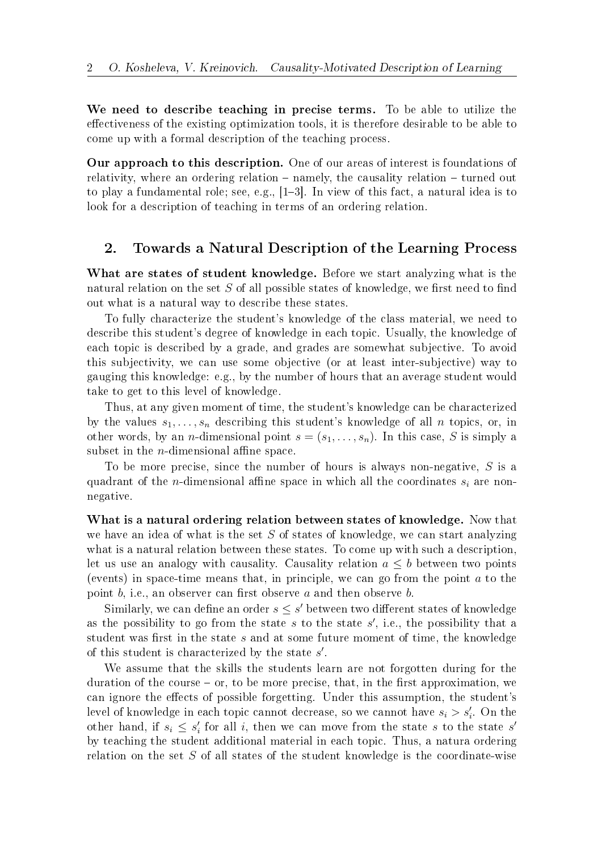We need to describe teaching in precise terms. To be able to utilize the effectiveness of the existing optimization tools, it is therefore desirable to be able to come up with a formal description of the teaching process.

Our approach to this description. One of our areas of interest is foundations of relativity, where an ordering relation – namely, the causality relation – turned out to play a fundamental role; see, e.g., [1–3]. In view of this fact, a natural idea is to look for a description of teaching in terms of an ordering relation.

### 2. Towards a Natural Description of the Learning Process

What are states of student knowledge. Before we start analyzing what is the natural relation on the set  $S$  of all possible states of knowledge, we first need to find out what is a natural way to describe these states.

To fully characterize the student's knowledge of the class material, we need to describe this student's degree of knowledge in each topic. Usually, the knowledge of each topic is described by a grade, and grades are somewhat subjective. To avoid this subjectivity, we can use some objective (or at least inter-subjective) way to gauging this knowledge: e.g., by the number of hours that an average student would take to get to this level of knowledge.

Thus, at any given moment of time, the student's knowledge can be characterized by the values  $s_1, \ldots, s_n$  describing this student's knowledge of all  $n$  topics, or, in other words, by an *n*-dimensional point  $s = (s_1, \ldots, s_n)$ . In this case, S is simply a subset in the  $n$ -dimensional affine space.

To be more precise, since the number of hours is always non-negative,  $S$  is a quadrant of the *n*-dimensional affine space in which all the coordinates  $s_i$  are nonnegative.

What is a natural ordering relation between states of knowledge. Now that we have an idea of what is the set  $S$  of states of knowledge, we can start analyzing what is a natural relation between these states. To come up with such a description, let us use an analogy with causality. Causality relation  $a \leq b$  between two points (events) in space-time means that, in principle, we can go from the point  $a$  to the point  $b$ , i.e., an observer can first observe  $a$  and then observe  $b$ .

Similarly, we can define an order  $s \leq s'$  between two different states of knowledge as the possibility to go from the state  $s$  to the state  $s'$ , i.e., the possibility that a student was first in the state  $s$  and at some future moment of time, the knowledge of this student is characterized by the state  $s'$ .

We assume that the skills the students learn are not forgotten during for the duration of the course – or, to be more precise, that, in the first approximation, we can ignore the effects of possible forgetting. Under this assumption, the student's level of knowledge in each topic cannot decrease, so we cannot have  $s_i > s'_i$ . On the other hand, if  $s_i \leq s'_i$  for all i, then we can move from the state s to the state s' by teaching the student additional material in each topic. Thus, a natura ordering relation on the set  $S$  of all states of the student knowledge is the coordinate-wise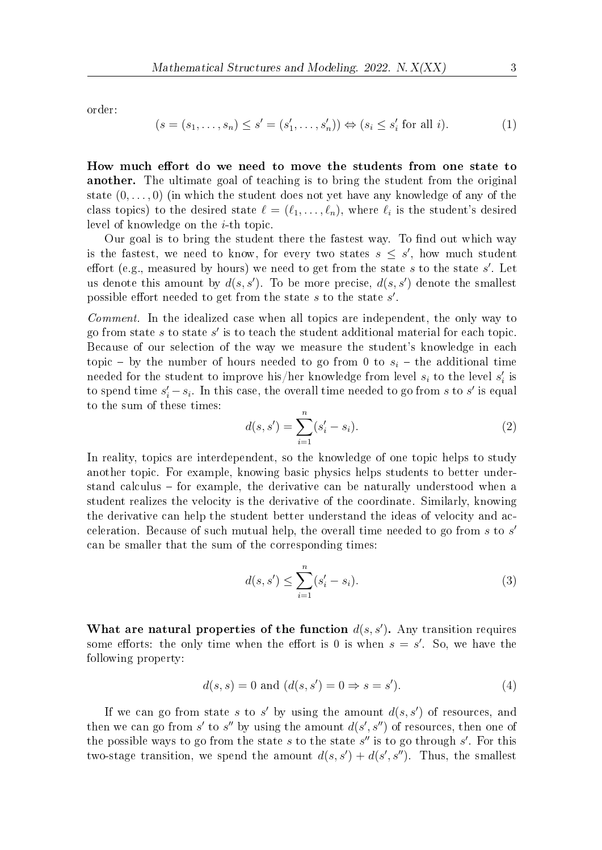order:

$$
(s = (s_1, \dots, s_n) \le s' = (s'_1, \dots, s'_n)) \Leftrightarrow (s_i \le s'_i \text{ for all } i). \tag{1}
$$

How much effort do we need to move the students from one state to another. The ultimate goal of teaching is to bring the student from the original state  $(0, \ldots, 0)$  (in which the student does not yet have any knowledge of any of the class topics) to the desired state  $\ell = (\ell_1, \ldots, \ell_n)$ , where  $\ell_i$  is the student's desired level of knowledge on the  $i$ -th topic.

Our goal is to bring the student there the fastest way. To find out which way is the fastest, we need to know, for every two states  $s \leq s'$ , how much student effort (e.g., measured by hours) we need to get from the state  $s$  to the state  $s'$ . Let us denote this amount by  $d(s, s')$ . To be more precise,  $d(s, s')$  denote the smallest possible effort needed to get from the state  $s$  to the state  $s'$ .

Comment. In the idealized case when all topics are independent, the only way to go from state  $s$  to state  $s'$  is to teach the student additional material for each topic. Because of our selection of the way we measure the student's knowledge in each topic – by the number of hours needed to go from 0 to  $s_i$  – the additional time needed for the student to improve his/her knowledge from level  $s_i$  to the level  $s'_i$  is to spend time  $s'_i - s_i$ . In this case, the overall time needed to go from s to s' is equal to the sum of these times:

$$
d(s, s') = \sum_{i=1}^{n} (s'_i - s_i).
$$
 (2)

In reality, topics are interdependent, so the knowledge of one topic helps to study another topic. For example, knowing basic physics helps students to better understand calculus – for example, the derivative can be naturally understood when a student realizes the velocity is the derivative of the coordinate. Similarly, knowing the derivative can help the student better understand the ideas of velocity and acceleration. Because of such mutual help, the overall time needed to go from  $s$  to  $s'$ can be smaller that the sum of the corresponding times:

$$
d(s, s') \le \sum_{i=1}^{n} (s'_i - s_i).
$$
 (3)

What are natural properties of the function  $d(s, s')$ . Any transition requires some efforts: the only time when the effort is 0 is when  $s = s'$ . So, we have the following property:

$$
d(s,s) = 0 \text{ and } (d(s,s') = 0 \Rightarrow s = s').
$$
\n
$$
(4)
$$

If we can go from state s to s' by using the amount  $d(s, s')$  of resources, and then we can go from s' to s'' by using the amount  $d(s', s'')$  of resources, then one of the possible ways to go from the state  $s$  to the state  $s''$  is to go through  $s'$ . For this two-stage transition, we spend the amount  $d(s, s') + d(s', s'')$ . Thus, the smallest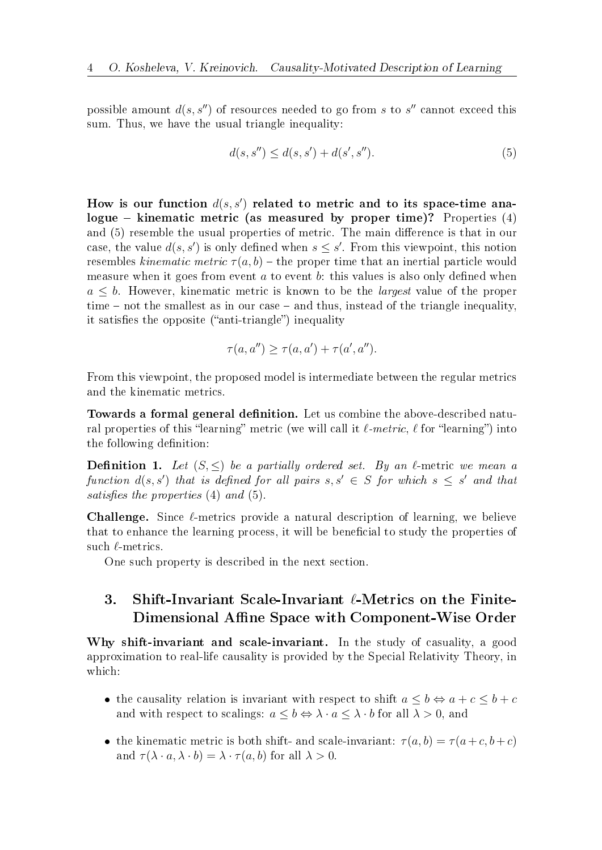possible amount  $d(s, s'')$  of resources needed to go from s to s'' cannot exceed this sum. Thus, we have the usual triangle inequality:

$$
d(s, s'') \le d(s, s') + d(s', s''). \tag{5}
$$

How is our function  $d(s, s')$  related to metric and to its space-time analogue – kinematic metric (as measured by proper time)? Properties  $(4)$ and (5) resemble the usual properties of metric. The main difference is that in our case, the value  $d(s, s')$  is only defined when  $s \leq s'$ . From this viewpoint, this notion resembles kinematic metric  $\tau(a, b)$  – the proper time that an inertial particle would measure when it goes from event  $a$  to event  $b$ : this values is also only defined when  $a \leq b$ . However, kinematic metric is known to be the *largest* value of the proper time – not the smallest as in our case – and thus, instead of the triangle inequality, it satisfies the opposite ("anti-triangle") inequality

$$
\tau(a, a'') \ge \tau(a, a') + \tau(a', a'').
$$

From this viewpoint, the proposed model is intermediate between the regular metrics and the kinematic metrics.

Towards a formal general definition. Let us combine the above-described natural properties of this "learning" metric (we will call it  $\ell$ -metric,  $\ell$  for "learning") into the following definition:

**Definition 1.** Let  $(S, \leq)$  be a partially ordered set. By an  $\ell$ -metric we mean a function  $d(s, s')$  that is defined for all pairs  $s, s' \in S$  for which  $s \leq s'$  and that satisfies the properties (4) and (5).

Challenge. Since ℓ-metrics provide a natural description of learning, we believe that to enhance the learning process, it will be beneficial to study the properties of such  $\ell$ -metrics.

One such property is described in the next section.

## 3. Shift-Invariant Scale-Invariant  $\ell$ -Metrics on the Finite-Dimensional Affine Space with Component-Wise Order

Why shift-invariant and scale-invariant. In the study of casuality, a good approximation to real-life causality is provided by the Special Relativity Theory, in which:

- the causality relation is invariant with respect to shift  $a \leq b \Leftrightarrow a + c \leq b + c$ and with respect to scalings:  $a \leq b \Leftrightarrow \lambda \cdot a \leq \lambda \cdot b$  for all  $\lambda > 0$ , and
- the kinematic metric is both shift- and scale-invariant:  $\tau(a, b) = \tau(a+c, b+c)$ and  $\tau(\lambda \cdot a, \lambda \cdot b) = \lambda \cdot \tau(a, b)$  for all  $\lambda > 0$ .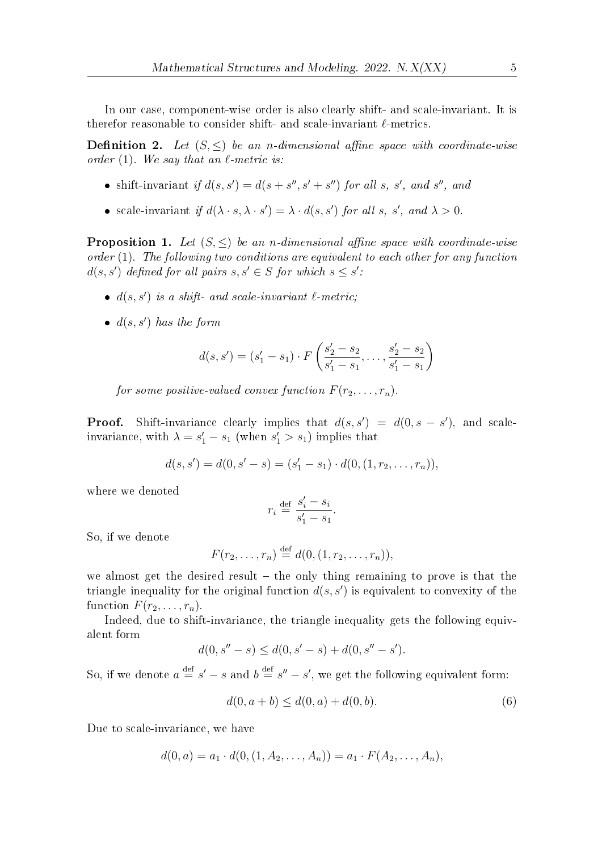In our case, component-wise order is also clearly shift- and scale-invariant. It is therefor reasonable to consider shift- and scale-invariant  $\ell$ -metrics.

**Definition 2.** Let  $(S, \leq)$  be an *n*-dimensional affine space with coordinate-wise order (1). We say that an  $\ell$ -metric is:

- shift-invariant if  $d(s, s') = d(s + s'', s' + s'')$  for all s, s', and s'', and
- scale-invariant if  $d(\lambda \cdot s, \lambda \cdot s') = \lambda \cdot d(s, s')$  for all s, s', and  $\lambda > 0$ .

**Proposition 1.** Let  $(S, \leq)$  be an *n*-dimensional affine space with coordinate-wise order (1). The following two conditions are equivalent to each other for any function  $d(s, s')$  defined for all pairs  $s, s' \in S$  for which  $s \leq s'$ .

- $\bullet$   $d(s, s')$  is a shift- and scale-invariant  $\ell$ -metric;
- $\bullet$   $d(s, s')$  has the form

$$
d(s, s') = (s'_1 - s_1) \cdot F\left(\frac{s'_2 - s_2}{s'_1 - s_1}, \dots, \frac{s'_2 - s_2}{s'_1 - s_1}\right)
$$

for some positive-valued convex function  $F(r_2, \ldots, r_n)$ .

**Proof.** Shift-invariance clearly implies that  $d(s, s') = d(0, s - s')$ , and scaleinvariance, with  $\lambda = s_1' - s_1$  (when  $s_1' > s_1$ ) implies that

$$
d(s,s') = d(0,s'-s) = (s'_1 - s_1) \cdot d(0,(1,r_2,\ldots,r_n)),
$$

where we denoted

$$
r_i \stackrel{\text{def}}{=} \frac{s'_i - s_i}{s'_1 - s_1}.
$$

So, if we denote

$$
F(r_2,...,r_n) \stackrel{\text{def}}{=} d(0,(1,r_2,...,r_n)),
$$

we almost get the desired result – the only thing remaining to prove is that the triangle inequality for the original function  $d(s, s')$  is equivalent to convexity of the function  $F(r_2, \ldots, r_n)$ .

Indeed, due to shift-invariance, the triangle inequality gets the following equivalent form

$$
d(0, s'' - s) \le d(0, s' - s) + d(0, s'' - s').
$$

So, if we denote  $a \stackrel{\text{def}}{=} s' - s$  and  $b \stackrel{\text{def}}{=} s'' - s'$ , we get the following equivalent form:

$$
d(0, a+b) \le d(0, a) + d(0, b). \tag{6}
$$

Due to scale-invariance, we have

$$
d(0, a) = a_1 \cdot d(0, (1, A_2, \dots, A_n)) = a_1 \cdot F(A_2, \dots, A_n),
$$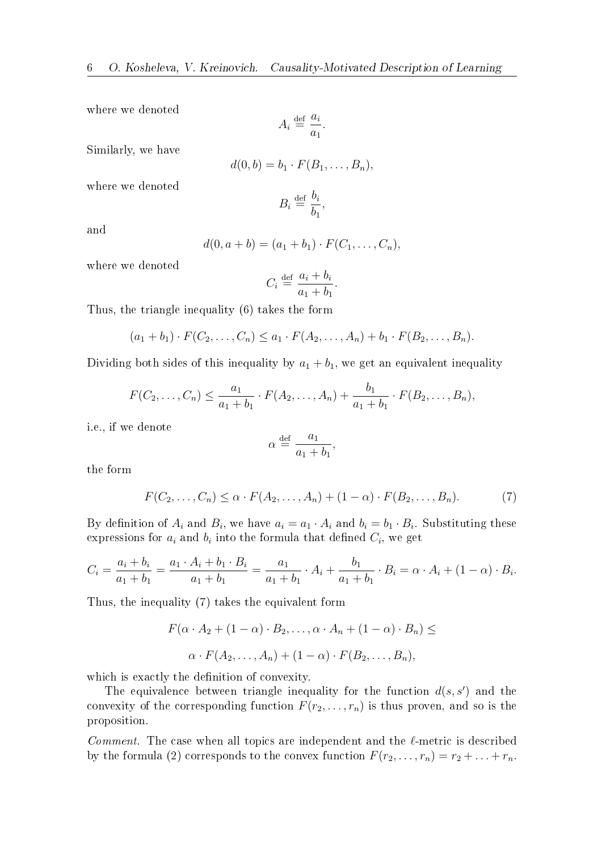where we denoted

$$
A_i \stackrel{\text{def}}{=} \frac{a_i}{a_1}.
$$

Similarly, we have

$$
d(0,b) = b_1 \cdot F(B_1,\ldots,B_n),
$$

where we denoted

$$
B_i \stackrel{\text{def}}{=} \frac{b_i}{b_1},
$$

and

$$
d(0, a+b) = (a_1 + b_1) \cdot F(C_1, \ldots, C_n),
$$

where we denoted

$$
C_i \stackrel{\text{def}}{=} \frac{a_i + b_i}{a_1 + b_1}.
$$

Thus, the triangle inequality (6) takes the form

$$
(a_1 + b_1) \cdot F(C_2, \ldots, C_n) \le a_1 \cdot F(A_2, \ldots, A_n) + b_1 \cdot F(B_2, \ldots, B_n).
$$

Dividing both sides of this inequality by  $a_1 + b_1$ , we get an equivalent inequality

$$
F(C_2, ..., C_n) \leq \frac{a_1}{a_1 + b_1} \cdot F(A_2, ..., A_n) + \frac{b_1}{a_1 + b_1} \cdot F(B_2, ..., B_n),
$$

i.e., if we denote

$$
\alpha \stackrel{\text{def}}{=} \frac{a_1}{a_1 + b_1},
$$

the form

$$
F(C_2, \ldots, C_n) \leq \alpha \cdot F(A_2, \ldots, A_n) + (1 - \alpha) \cdot F(B_2, \ldots, B_n). \tag{7}
$$

By definition of  $A_i$  and  $B_i$ , we have  $a_i = a_1 \cdot A_i$  and  $b_i = b_1 \cdot B_i$ . Substituting these expressions for  $a_i$  and  $b_i$  into the formula that defined  $C_i$ , we get

$$
C_i = \frac{a_i + b_i}{a_1 + b_1} = \frac{a_1 \cdot A_i + b_1 \cdot B_i}{a_1 + b_1} = \frac{a_1}{a_1 + b_1} \cdot A_i + \frac{b_1}{a_1 + b_1} \cdot B_i = \alpha \cdot A_i + (1 - \alpha) \cdot B_i.
$$

Thus, the inequality (7) takes the equivalent form

$$
F(\alpha \cdot A_2 + (1 - \alpha) \cdot B_2, \dots, \alpha \cdot A_n + (1 - \alpha) \cdot B_n) \le
$$
  

$$
\alpha \cdot F(A_2, \dots, A_n) + (1 - \alpha) \cdot F(B_2, \dots, B_n),
$$

which is exactly the definition of convexity.

The equivalence between triangle inequality for the function  $d(s, s')$  and the convexity of the corresponding function  $F(r_2, \ldots, r_n)$  is thus proven, and so is the proposition.

Comment. The case when all topics are independent and the  $\ell$ -metric is described by the formula (2) corresponds to the convex function  $F(r_2, \ldots, r_n) = r_2 + \ldots + r_n$ .